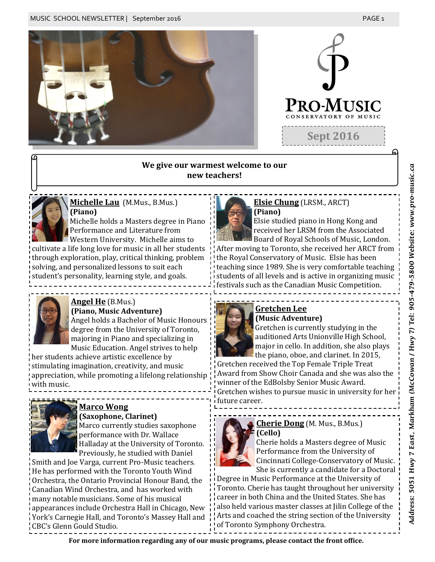

## **We give our warmest welcome to our new teachers!**



# **Michelle Lau** (M.Mus., B.Mus.) **(Piano)**

Michelle holds a Masters degree in Piano Performance and Literature from Western University. Michelle aims to

cultivate a life long love for music in all her students through exploration, play, critical thinking, problem solving, and personalized lessons to suit each student's personality, learning style, and goals.



# **Angel He** (B.Mus.)

**(Piano, Music Adventure)** Angel holds a Bachelor of Music Honours degree from the University of Toronto, majoring in Piano and specializing in Music Education. Angel strives to help

her students achieve artistic excellence by stimulating imagination, creativity, and music appreciation, while promoting a lifelong relationship with music.



# **Marco Wong**

#### **(Saxophone, Clarinet)**

Marco currently studies saxophone performance with Dr. Wallace Halladay at the University of Toronto. Previously, he studied with Daniel

Smith and Joe Varga, current Pro-Music teachers. He has performed with the Toronto Youth Wind Orchestra, the Ontario Provincial Honour Band, the Canadian Wind Orchestra, and has worked with many notable musicians. Some of his musical appearances include Orchestra Hall in Chicago, New York's Carnegie Hall, and Toronto's Massey Hall and CBC's Glenn Gould Studio.



#### **Elsie Chung** (LRSM., ARCT) **(Piano)**

Elsie studied piano in Hong Kong and received her LRSM from the Associated Board of Royal Schools of Music, London.

After moving to Toronto, she received her ARCT from the Royal Conservatory of Music. Elsie has been teaching since 1989. She is very comfortable teaching students of all levels and is active in organizing music festivals such as the Canadian Music Competition.



# **Gretchen Lee**

**(Music Adventure)** Gretchen is currently studying in the auditioned Arts Unionville High School, major in cello. In addition, she also plays the piano, oboe, and clarinet. In 2015,

Gretchen received the Top Female Triple Treat Award from Show Choir Canada and she was also the winner of the EdBolsby Senior Music Award.

Gretchen wishes to pursue music in university for her future career.



**(Cello)** Cherie holds a Masters degree of Music Performance from the University of Cincinnati College-Conservatory of Music. She is currently a candidate for a Doctoral

Degree in Music Performance at the University of Toronto. Cherie has taught throughout her university career in both China and the United States. She has also held various master classes at Jilin College of the Arts and coached the string section of the University of Toronto Symphony Orchestra.

**For more information regarding any of our music programs, please contact the front office.**